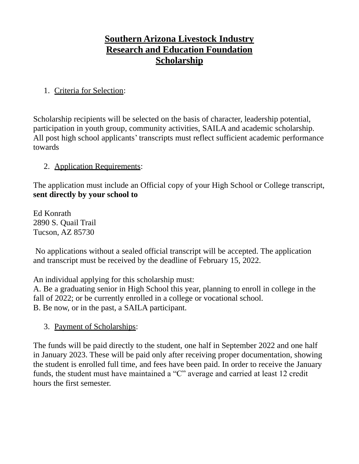# **Southern Arizona Livestock Industry Research and Education Foundation Scholarship**

### 1. Criteria for Selection:

Scholarship recipients will be selected on the basis of character, leadership potential, participation in youth group, community activities, SAILA and academic scholarship. All post high school applicants' transcripts must reflect sufficient academic performance towards

### 2. Application Requirements:

The application must include an Official copy of your High School or College transcript, **sent directly by your school to**

Ed Konrath 2890 S. Quail Trail Tucson, AZ 85730

No applications without a sealed official transcript will be accepted. The application and transcript must be received by the deadline of February 15, 2022.

An individual applying for this scholarship must:

A. Be a graduating senior in High School this year, planning to enroll in college in the fall of 2022; or be currently enrolled in a college or vocational school. B. Be now, or in the past, a SAILA participant.

### 3. Payment of Scholarships:

The funds will be paid directly to the student, one half in September 2022 and one half in January 2023. These will be paid only after receiving proper documentation, showing the student is enrolled full time, and fees have been paid. In order to receive the January funds, the student must have maintained a "C" average and carried at least 12 credit hours the first semester.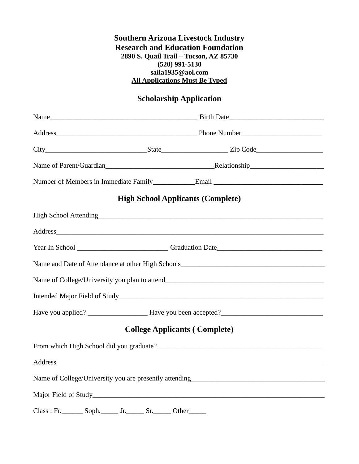#### **Southern Arizona Livestock Industry Research and Education Foundation 2890 S. Quail Trail – Tucson, AZ 85730 (520) 991-5130 [saila1935@aol.com](mailto:saila1935@aol.com) All Applications Must Be Typed**

## **Scholarship Application**

|                                      | <b>High School Applicants (Complete)</b>                                                                                                                                                                                       |  |
|--------------------------------------|--------------------------------------------------------------------------------------------------------------------------------------------------------------------------------------------------------------------------------|--|
|                                      |                                                                                                                                                                                                                                |  |
|                                      | Address and the contract of the contract of the contract of the contract of the contract of the contract of the contract of the contract of the contract of the contract of the contract of the contract of the contract of th |  |
|                                      |                                                                                                                                                                                                                                |  |
|                                      |                                                                                                                                                                                                                                |  |
|                                      |                                                                                                                                                                                                                                |  |
|                                      |                                                                                                                                                                                                                                |  |
|                                      |                                                                                                                                                                                                                                |  |
| <b>College Applicants (Complete)</b> |                                                                                                                                                                                                                                |  |
|                                      |                                                                                                                                                                                                                                |  |
|                                      | Address and the contract of the contract of the contract of the contract of the contract of the contract of the contract of the contract of the contract of the contract of the contract of the contract of the contract of th |  |
|                                      |                                                                                                                                                                                                                                |  |
|                                      |                                                                                                                                                                                                                                |  |
| $Class: Fr.$ Soph. Ir. Sr. Other     |                                                                                                                                                                                                                                |  |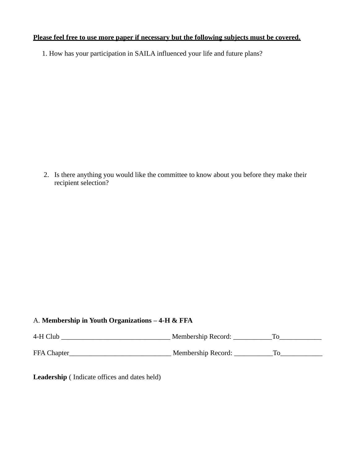#### **Please feel free to use more paper if necessary but the following subjects must be covered.**

1. How has your participation in SAILA influenced your life and future plans?

2. Is there anything you would like the committee to know about you before they make their recipient selection?

#### A. **Membership in Youth Organizations – 4-H & FFA**

| 4-H Club    | Membership Record: |  |
|-------------|--------------------|--|
| FFA Chapter | Membership Record: |  |

**Leadership** ( Indicate offices and dates held)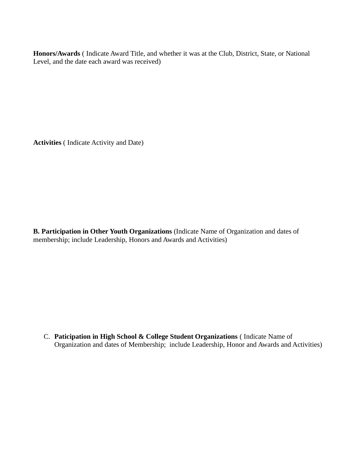**Honors/Awards** ( Indicate Award Title, and whether it was at the Club, District, State, or National Level, and the date each award was received)

**Activities** ( Indicate Activity and Date)

**B. Participation in Other Youth Organizations** (Indicate Name of Organization and dates of membership; include Leadership, Honors and Awards and Activities)

C. **Paticipation in High School & College Student Organizations** ( Indicate Name of Organization and dates of Membership; include Leadership, Honor and Awards and Activities)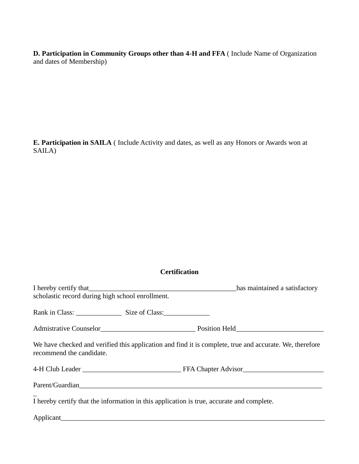**D. Participation in Community Groups other than 4-H and FFA** ( Include Name of Organization and dates of Membership)

**E. Participation in SAILA** ( Include Activity and dates, as well as any Honors or Awards won at SAILA)

#### **Certification**

| scholastic record during high school enrollment.                                          | I hereby certify that has maintained a satisfactory has maintained a satisfactory                       |
|-------------------------------------------------------------------------------------------|---------------------------------------------------------------------------------------------------------|
|                                                                                           |                                                                                                         |
|                                                                                           |                                                                                                         |
| recommend the candidate.                                                                  | We have checked and verified this application and find it is complete, true and accurate. We, therefore |
|                                                                                           |                                                                                                         |
|                                                                                           |                                                                                                         |
| I hereby certify that the information in this application is true, accurate and complete. |                                                                                                         |
| Applicant                                                                                 |                                                                                                         |